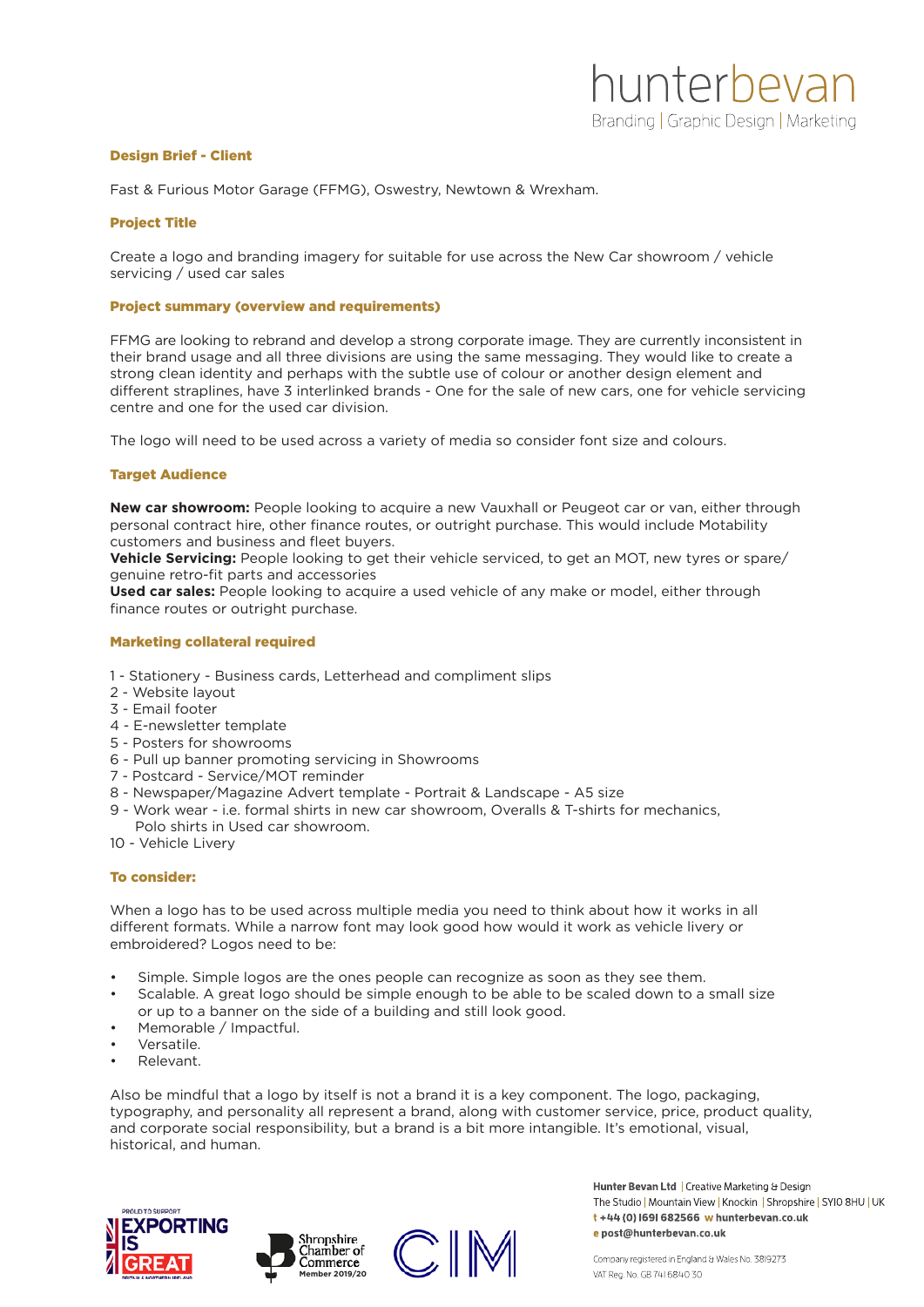# Design Brief - Client

Fast & Furious Motor Garage (FFMG), Oswestry, Newtown & Wrexham.

# Project Title

Create a logo and branding imagery for suitable for use across the New Car showroom / vehicle servicing / used car sales

### Project summary (overview and requirements)

FFMG are looking to rebrand and develop a strong corporate image. They are currently inconsistent in their brand usage and all three divisions are using the same messaging. They would like to create a strong clean identity and perhaps with the subtle use of colour or another design element and different straplines, have 3 interlinked brands - One for the sale of new cars, one for vehicle servicing centre and one for the used car division.

The logo will need to be used across a variety of media so consider font size and colours.

# Target Audience

**New car showroom:** People looking to acquire a new Vauxhall or Peugeot car or van, either through personal contract hire, other finance routes, or outright purchase. This would include Motability customers and business and fleet buyers.

**Vehicle Servicing:** People looking to get their vehicle serviced, to get an MOT, new tyres or spare/ genuine retro-fit parts and accessories

**Used car sales:** People looking to acquire a used vehicle of any make or model, either through finance routes or outright purchase.

### Marketing collateral required

- 1 Stationery Business cards, Letterhead and compliment slips
- 2 Website layout
- 3 Email footer
- 4 E-newsletter template
- 5 Posters for showrooms
- 6 Pull up banner promoting servicing in Showrooms
- 7 Postcard Service/MOT reminder
- 8 Newspaper/Magazine Advert template Portrait & Landscape A5 size
- 9 Work wear i.e. formal shirts in new car showroom, Overalls & T-shirts for mechanics, Polo shirts in Used car showroom.
- 10 Vehicle Livery

# To consider:

When a logo has to be used across multiple media you need to think about how it works in all different formats. While a narrow font may look good how would it work as vehicle livery or embroidered? Logos need to be:

- Simple. Simple logos are the ones people can recognize as soon as they see them.
- Scalable. A great logo should be simple enough to be able to be scaled down to a small size
- or up to a banner on the side of a building and still look good.
- Memorable / Impactful.
- Versatile.
- Relevant.

Also be mindful that a logo by itself is not a brand it is a key component. The logo, packaging, typography, and personality all represent a brand, along with customer service, price, product quality, and corporate social responsibility, but a brand is a bit more intangible. It's emotional, visual, historical, and human.







Hunter Bevan Ltd | Creative Marketing & Design The Studio | Mountain View | Knockin | Shropshire | SYIO 8HU | UK t+44 (0) 1691 682566 w hunterbevan.co.uk e post@hunterbevan.co.uk